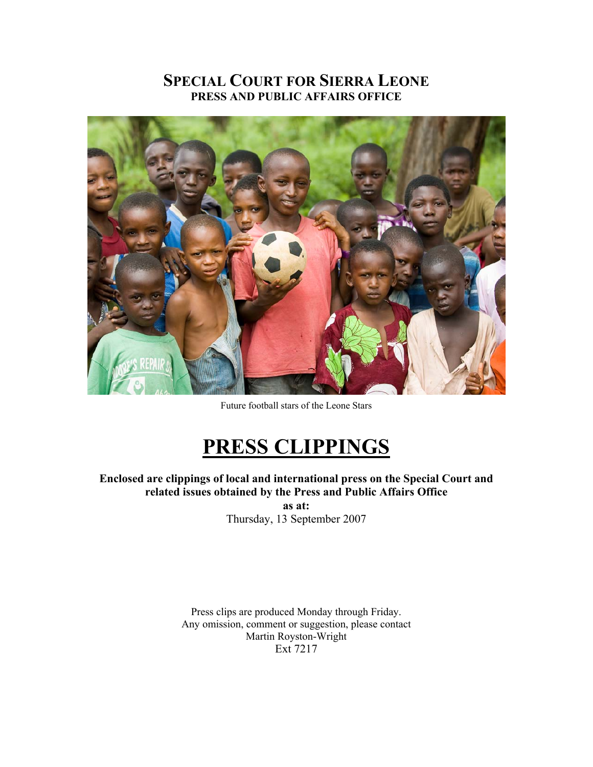# **SPECIAL COURT FOR SIERRA LEONE PRESS AND PUBLIC AFFAIRS OFFICE**



Future football stars of the Leone Stars

# **PRESS CLIPPINGS**

**Enclosed are clippings of local and international press on the Special Court and related issues obtained by the Press and Public Affairs Office as at:**  Thursday, 13 September 2007

Press clips are produced Monday through Friday. Any omission, comment or suggestion, please contact Martin Royston-Wright Ext 7217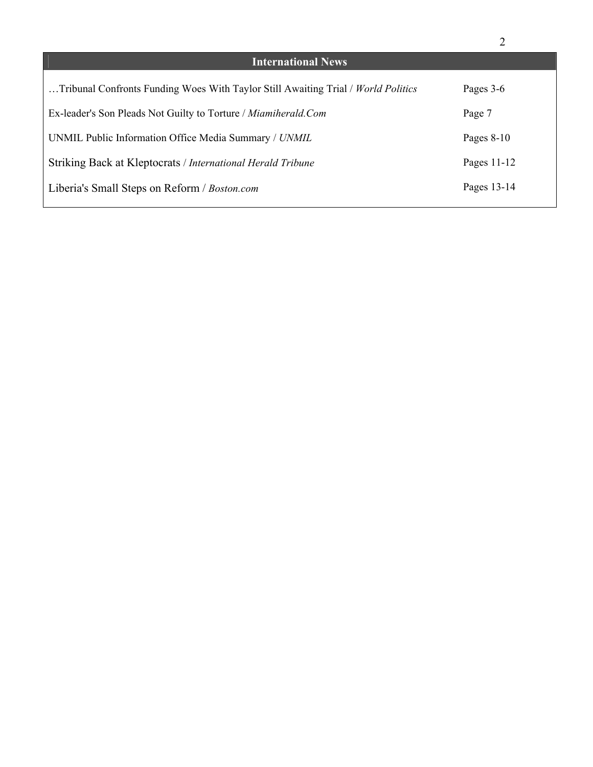|                                                                                   | 2             |
|-----------------------------------------------------------------------------------|---------------|
| <b>International News</b>                                                         |               |
| Tribunal Confronts Funding Woes With Taylor Still Awaiting Trial / World Politics | Pages 3-6     |
| Ex-leader's Son Pleads Not Guilty to Torture / Miamiherald.Com                    | Page 7        |
| UNMIL Public Information Office Media Summary / UNMIL                             | Pages $8-10$  |
| Striking Back at Kleptocrats / International Herald Tribune                       | Pages $11-12$ |
| Liberia's Small Steps on Reform / Boston.com                                      | Pages 13-14   |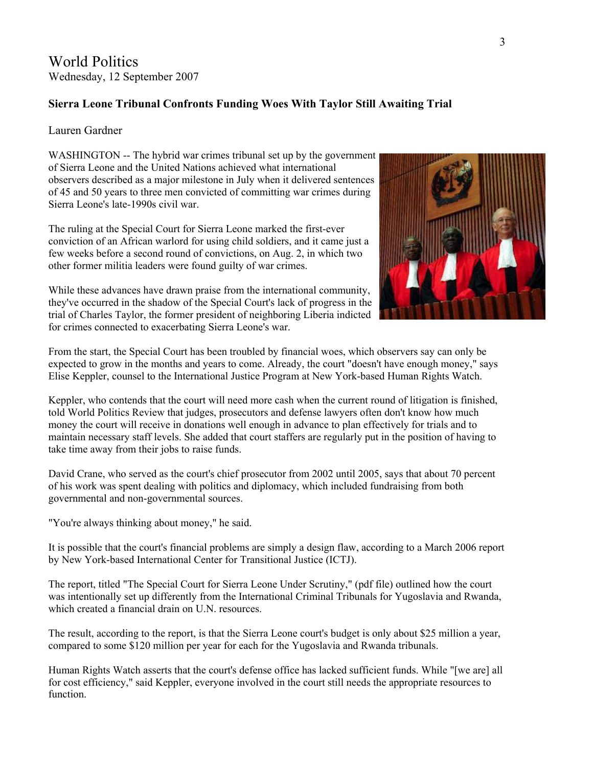World Politics Wednesday, 12 September 2007

## **Sierra Leone Tribunal Confronts Funding Woes With Taylor Still Awaiting Trial**

### Lauren Gardner

WASHINGTON -- The hybrid war crimes tribunal set up by the government of Sierra Leone and the United Nations achieved what international observers described as a major milestone in July when it delivered sentences of 45 and 50 years to three men convicted of committing war crimes during Sierra Leone's late-1990s civil war.

The ruling at the [Special](http://www.sc-sl.org/) Court for Sierra Leone marked the first-ever conviction of an African warlord for using child soldiers, and it came just a few weeks before a second round of convictions, on Aug. 2, in which two other former militia leaders were found guilty of war crimes.

While these advances have drawn praise from the international community, they've occurred in the shadow of the Special Court's lack of progress in the trial of Charles Taylor, the former president of neighboring Liberia indicted for crimes connected to exacerbating Sierra Leone's war.



From the start, the Special Court has been troubled by financial woes, which observers say can only be expected to grow in the months and years to come. Already, the court "doesn't have enough money," says Elise Keppler, counsel to the International Justice Program at New York-based Human Rights Watch.

Keppler, who contends that the court will need more cash when the current round of litigation is finished, told World Politics Review that judges, prosecutors and defense lawyers often don't know how much money the court will receive in donations well enough in advance to plan effectively for trials and to maintain necessary staff levels. She added that court staffers are regularly put in the position of having to take time away from their jobs to raise funds.

David Crane, who served as the court's chief prosecutor from 2002 until 2005, says that about 70 percent of his work was spent dealing with politics and diplomacy, which included fundraising from both governmental and non-governmental sources.

"You're always thinking about money," he said.

It is possible that the court's financial problems are simply a design flaw, according to a March 2006 report by New York-based [International](http://www.ictj.org/en/index.html) Center for Transitional Justice (ICTJ).

The report, titled "The [Special Court for Sierra Leone Under Scrutiny,](http://www.ictj.org/static/Prosecutions/Sierra.study.pdf)" (pdf file) outlined how the court was intentionally set up differently from the International Criminal Tribunals for Yugoslavia and Rwanda, which created a financial drain on U.N. resources.

The result, according to the report, is that the Sierra Leone court's budget is only about \$25 million a year, compared to some \$120 million per year for each for the Yugoslavia and Rwanda tribunals.

[Human](http://www.hrw.org/doc?t=africa&c=sierra) Rights Watch asserts that the court's defense office has lacked sufficient funds. While "[we are] all for cost efficiency," said Keppler, everyone involved in the court still needs the appropriate resources to function.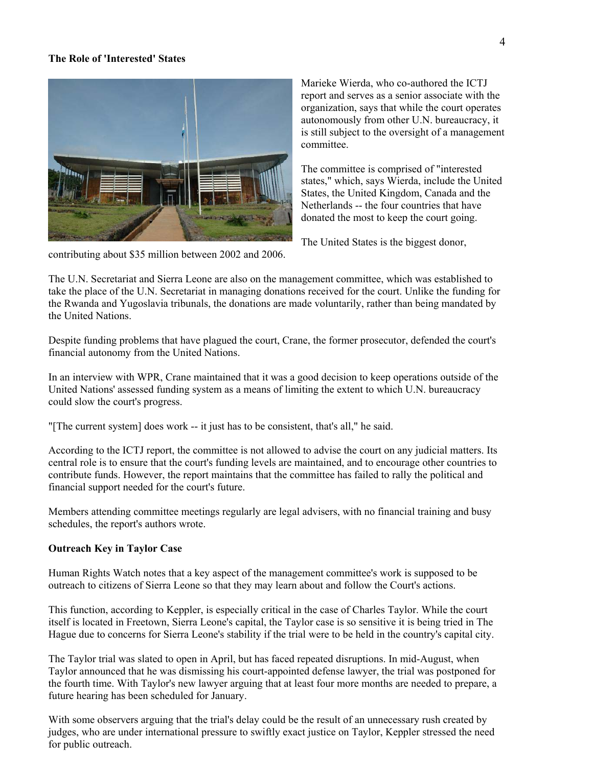#### **The Role of 'Interested' States**



Marieke Wierda, who co-authored the ICTJ report and serves as a senior associate with the organization, says that while the court operates autonomously from other U.N. bureaucracy, it is still subject to the oversight of a m anagement committee.

The committee is comprised of "interested states," which, says Wierda, include the United States, the United Kingdom, Canada and the Netherlands -- the four countries that have donated the most to keep the court going.

The United States is the biggest donor,

The U.N. Secretariat and Sierra Leone are also on the management committee, which was established to take the place of the U.N. Secretariat in managing donations received for the court. Unlike the funding for the Rwanda and Yugoslavia tribunals, the donations are made voluntarily, rather than being mandated by the United Nations.

Despite funding problems that have plagued the court, Crane, the former prosecutor, defended the court's financial autonomy from the United Nations.

In an interview with WPR, Crane maintained that it was a good decision to keep operations outside of the United Nations' assessed funding system as a means of limiting the extent to which U.N. bureaucracy could slow the court's progress.

"[The current system] does work -- it just has to be consistent, that's all," he said.

According to the ICTJ report, the committee is not allowed to advise the court on any judicial matters. Its central role is to ensure that the court's funding levels are maintained, and to encourage other countries to contribute funds. However, the report maintains that the committee has failed to rally the political and financial support needed for the court's future.

Members attending committee meetings regularly are legal advisers, with no financial training and busy schedules, the report's authors wrote.

### **Outreach Key in Taylor Case**

Human Rights Watch notes that a key aspect of the management committee's work is supposed to be outreach to citizens of Sierra Leone so that they may learn about and follow the Court's actions.

This function, according to Keppler, is especially critical in the case of Charles Taylor. While the court itself is located in Freetown, Sierra Leone's capital, the Taylor case is so sensitive it is being tried in The Hague due to concerns for Sierra Leone's stability if the trial were to be held in the country's capital city.

The Taylor trial was slated to open in April, but has faced repeated disruptions. In mid-August, when Taylor announced that he was dismissing his court-appointed defense lawyer, the trial was postponed for the fourth time. With Taylor's new lawyer arguing that at least four more months are needed to prepare, a future hearing has been scheduled for January.

With some observers arguing that the trial's delay could be the result of an unnecessary rush created by judges, who are under international pressure to swiftly exact justice on Taylor, Keppler stressed the need for public outreach.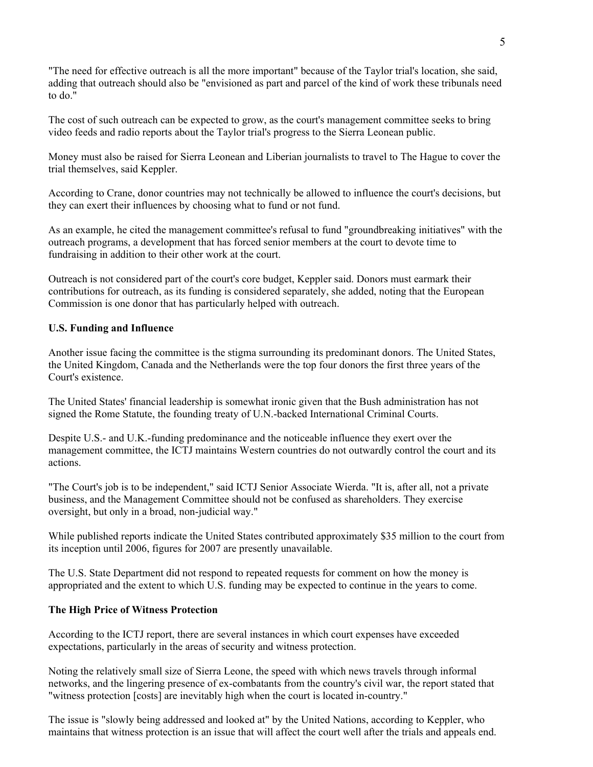"The need for effective outreach is all the more important" because of the Taylor trial's location, she said, adding that outreach should also be "envisioned as part and parcel of the kind of work these tribunals need to do."

The cost of such outreach can be expected to grow, as the court's management committee seeks to bring video feeds and radio reports about the Taylor trial's progress to the Sierra Leonean public.

Money must also be raised for Sierra Leonean and Liberian journalists to travel to The Hague to cover the trial themselves, said Keppler.

According to Crane, donor countries may not technically be allowed to influence the court's decisions, but they can exert their influences by choosing what to fund or not fund.

As an example, he cited the management committee's refusal to fund "groundbreaking initiatives" with the outreach programs, a development that has forced senior members at the court to devote time to fundraising in addition to their other work at the court.

Outreach is not considered part of the court's core budget, Keppler said. Donors must earmark their contributions for outreach, as its funding is considered separately, she added, noting that the European Commission is one donor that has particularly helped with outreach.

### **U.S. Funding and Influence**

Another issue facing the committee is the stigma surrounding its predominant donors. The United States, the United Kingdom, Canada and the Netherlands were the top four donors the first three years of the Court's existence.

The United States' financial leadership is somewhat ironic given that the Bush administration has not signed the Rome Statute, the founding treaty of U.N.-backed International Criminal Courts.

Despite U.S.- and U.K.-funding predominance and the noticeable influence they exert over the management committee, the ICTJ maintains Western countries do not outwardly control the court and its actions.

"The Court's job is to be independent," said ICTJ Senior Associate Wierda. "It is, after all, not a private business, and the Management Committee should not be confused as shareholders. They exercise oversight, but only in a broad, non-judicial way."

While published reports indicate the United States contributed approximately \$35 million to the court from its inception until 2006, figures for 2007 are presently unavailable.

The U.S. State Department did not respond to repeated requests for comment on how the money is appropriated and the extent to which U.S. funding may be expected to continue in the years to come.

#### **The High Price of Witness Protection**

According to the ICTJ report, there are several instances in which court expenses have exceeded expectations, particularly in the areas of security and witness protection.

Noting the relatively small size of Sierra Leone, the speed with which news travels through informal networks, and the lingering presence of ex-combatants from the country's civil war, the report stated that "witness protection [costs] are inevitably high when the court is located in-country."

The issue is "slowly being addressed and looked at" by the United Nations, according to Keppler, who maintains that witness protection is an issue that will affect the court well after the trials and appeals end.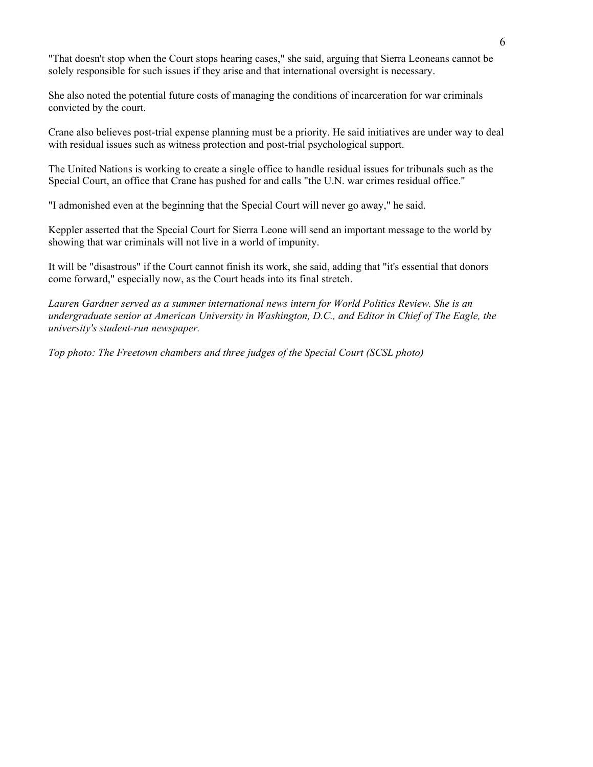"That doesn't stop when the Court stops hearing cases," she said, arguing that Sierra Leoneans cannot be solely responsible for such issues if they arise and that international oversight is necessary.

She also noted the potential future costs of managing the conditions of incarceration for war criminals convicted by the court.

Crane also believes post-trial expense planning must be a priority. He said initiatives are under way to deal with residual issues such as witness protection and post-trial psychological support.

The United Nations is working to create a single office to handle residual issues for tribunals such as the Special Court, an office that Crane has pushed for and calls "the U.N. war crimes residual office."

"I admonished even at the beginning that the Special Court will never go away," he said.

Keppler asserted that the Special Court for Sierra Leone will send an important message to the world by showing that war criminals will not live in a world of impunity.

It will be "disastrous" if the Court cannot finish its work, she said, adding that "it's essential that donors come forward," especially now, as the Court heads into its final stretch.

*Lauren Gardner served as a summer international news intern for World Politics Review. She is an undergraduate senior at American University in Washington, D.C., and Editor in Chief of The Eagle, the university's student-run newspaper.* 

*Top photo: The Freetown chambers and three judges of the Special Court (SCSL photo)*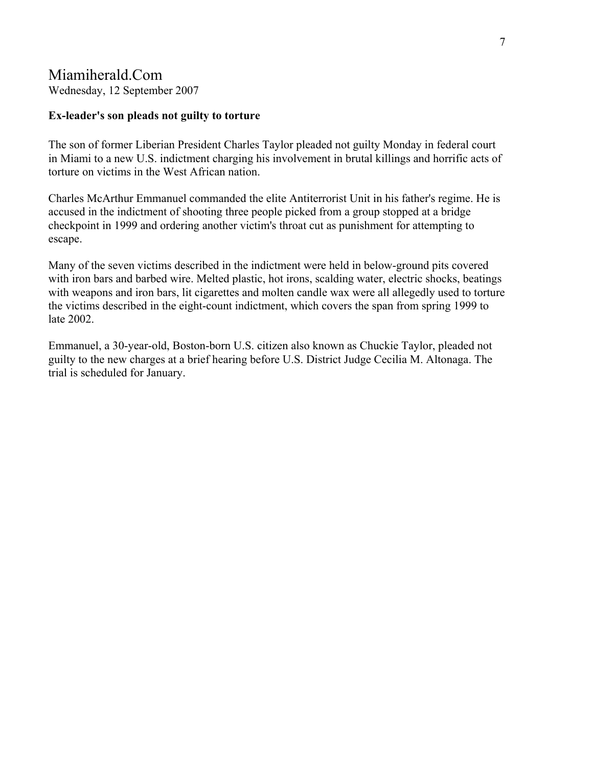# Miamiherald.Com

Wednesday, 12 September 2007

### **Ex-leader's son pleads not guilty to torture**

The son of former Liberian President Charles Taylor pleaded not guilty Monday in federal court in Miami to a new U.S. indictment charging his involvement in brutal killings and horrific acts of torture on victims in the West African nation.

Charles McArthur Emmanuel commanded the elite Antiterrorist Unit in his father's regime. He is accused in the indictment of shooting three people picked from a group stopped at a bridge checkpoint in 1999 and ordering another victim's throat cut as punishment for attempting to escape.

Many of the seven victims described in the indictment were held in below-ground pits covered with iron bars and barbed wire. Melted plastic, hot irons, scalding water, electric shocks, beatings with weapons and iron bars, lit cigarettes and molten candle wax were all allegedly used to torture the victims described in the eight-count indictment, which covers the span from spring 1999 to late 2002.

Emmanuel, a 30-year-old, Boston-born U.S. citizen also known as Chuckie Taylor, pleaded not guilty to the new charges at a brief hearing before U.S. District Judge Cecilia M. Altonaga. The trial is scheduled for January.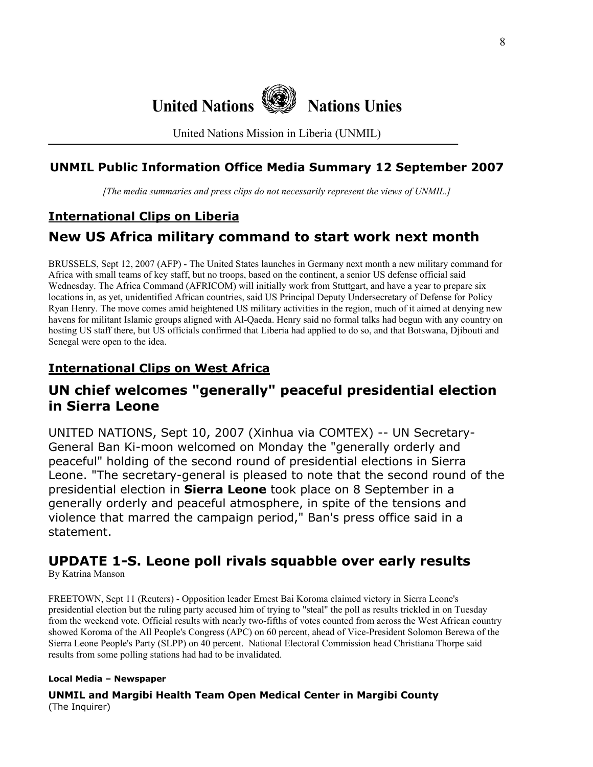

United Nations Mission in Liberia (UNMIL)

### **UNMIL Public Information Office Media Summary 12 September 2007**

*[The media summaries and press clips do not necessarily represent the views of UNMIL.]*

# **International Clips on Liberia**

# **New US Africa military command to start work next month**

BRUSSELS, Sept 12, 2007 (AFP) - The United States launches in Germany next month a new military command for Africa with small teams of key staff, but no troops, based on the continent, a senior US defense official said Wednesday. The Africa Command (AFRICOM) will initially work from Stuttgart, and have a year to prepare six locations in, as yet, unidentified African countries, said US Principal Deputy Undersecretary of Defense for Policy Ryan Henry. The move comes amid heightened US military activities in the region, much of it aimed at denying new havens for militant Islamic groups aligned with Al-Qaeda. Henry said no formal talks had begun with any country on hosting US staff there, but US officials confirmed that Liberia had applied to do so, and that Botswana, Djibouti and Senegal were open to the idea.

# **International Clips on West Africa**

# **UN chief welcomes "generally" peaceful presidential election in Sierra Leone**

UNITED NATIONS, Sept 10, 2007 (Xinhua via COMTEX) -- UN Secretary-General Ban Ki-moon welcomed on Monday the "generally orderly and peaceful" holding of the second round of presidential elections in Sierra Leone. "The secretary-general is pleased to note that the second round of the presidential election in **Sierra Leone** took place on 8 September in a generally orderly and peaceful atmosphere, in spite of the tensions and violence that marred the campaign period," Ban's press office said in a statement.

# **UPDATE 1-S. Leone poll rivals squabble over early results**

By Katrina Manson

FREETOWN, Sept 11 (Reuters) - Opposition leader Ernest Bai Koroma claimed victory in Sierra Leone's presidential election but the ruling party accused him of trying to "steal" the poll as results trickled in on Tuesday from the weekend vote. Official results with nearly two-fifths of votes counted from across the West African country showed Koroma of the All People's Congress (APC) on 60 percent, ahead of Vice-President Solomon Berewa of the Sierra Leone People's Party (SLPP) on 40 percent. National Electoral Commission head Christiana Thorpe said results from some polling stations had had to be invalidated.

### **Local Media – Newspaper**

**UNMIL and Margibi Health Team Open Medical Center in Margibi County** (The Inquirer)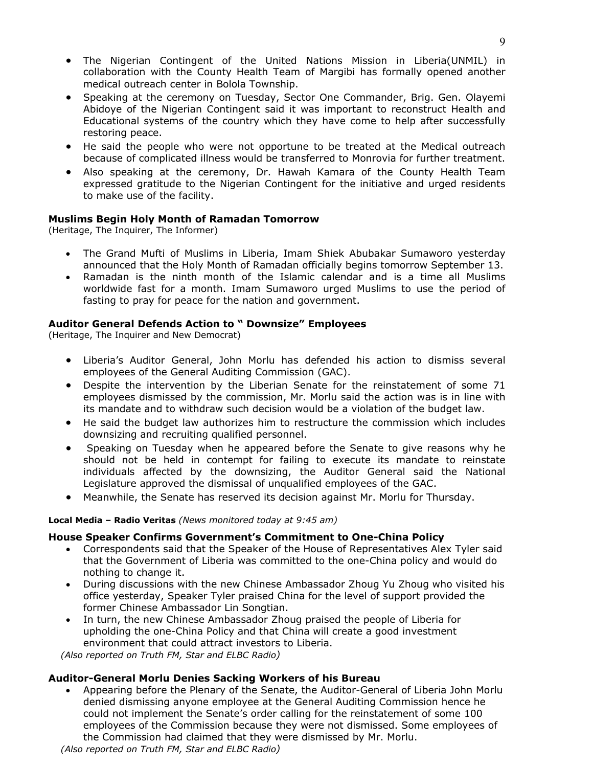- The Nigerian Contingent of the United Nations Mission in Liberia(UNMIL) in collaboration with the County Health Team of Margibi has formally opened another medical outreach center in Bolola Township.
- Speaking at the ceremony on Tuesday, Sector One Commander, Brig. Gen. Olayemi Abidoye of the Nigerian Contingent said it was important to reconstruct Health and Educational systems of the country which they have come to help after successfully restoring peace.
- He said the people who were not opportune to be treated at the Medical outreach because of complicated illness would be transferred to Monrovia for further treatment.
- Also speaking at the ceremony, Dr. Hawah Kamara of the County Health Team expressed gratitude to the Nigerian Contingent for the initiative and urged residents to make use of the facility.

#### **Muslims Begin Holy Month of Ramadan Tomorrow**

(Heritage, The Inquirer, The Informer)

- The Grand Mufti of Muslims in Liberia, Imam Shiek Abubakar Sumaworo yesterday announced that the Holy Month of Ramadan officially begins tomorrow September 13.
- Ramadan is the ninth month of the Islamic calendar and is a time all Muslims worldwide fast for a month. Imam Sumaworo urged Muslims to use the period of fasting to pray for peace for the nation and government.

#### **Auditor General Defends Action to " Downsize" Employees**

(Heritage, The Inquirer and New Democrat)

- Liberia's Auditor General, John Morlu has defended his action to dismiss several employees of the General Auditing Commission (GAC).
- Despite the intervention by the Liberian Senate for the reinstatement of some 71 employees dismissed by the commission, Mr. Morlu said the action was is in line with its mandate and to withdraw such decision would be a violation of the budget law.
- He said the budget law authorizes him to restructure the commission which includes downsizing and recruiting qualified personnel.
- Speaking on Tuesday when he appeared before the Senate to give reasons why he should not be held in contempt for failing to execute its mandate to reinstate individuals affected by the downsizing, the Auditor General said the National Legislature approved the dismissal of unqualified employees of the GAC.
- Meanwhile, the Senate has reserved its decision against Mr. Morlu for Thursday.

#### **Local Media – Radio Veritas** *(News monitored today at 9:45 am)*

### **House Speaker Confirms Government's Commitment to One-China Policy**

- Correspondents said that the Speaker of the House of Representatives Alex Tyler said that the Government of Liberia was committed to the one-China policy and would do nothing to change it.
- During discussions with the new Chinese Ambassador Zhoug Yu Zhoug who visited his office yesterday, Speaker Tyler praised China for the level of support provided the former Chinese Ambassador Lin Songtian.
- In turn, the new Chinese Ambassador Zhoug praised the people of Liberia for upholding the one-China Policy and that China will create a good investment environment that could attract investors to Liberia.

 *(Also reported on Truth FM, Star and ELBC Radio)*

### **Auditor-General Morlu Denies Sacking Workers of his Bureau**

• Appearing before the Plenary of the Senate, the Auditor-General of Liberia John Morlu denied dismissing anyone employee at the General Auditing Commission hence he could not implement the Senate's order calling for the reinstatement of some 100 employees of the Commission because they were not dismissed. Some employees of the Commission had claimed that they were dismissed by Mr. Morlu.

 *(Also reported on Truth FM, Star and ELBC Radio)*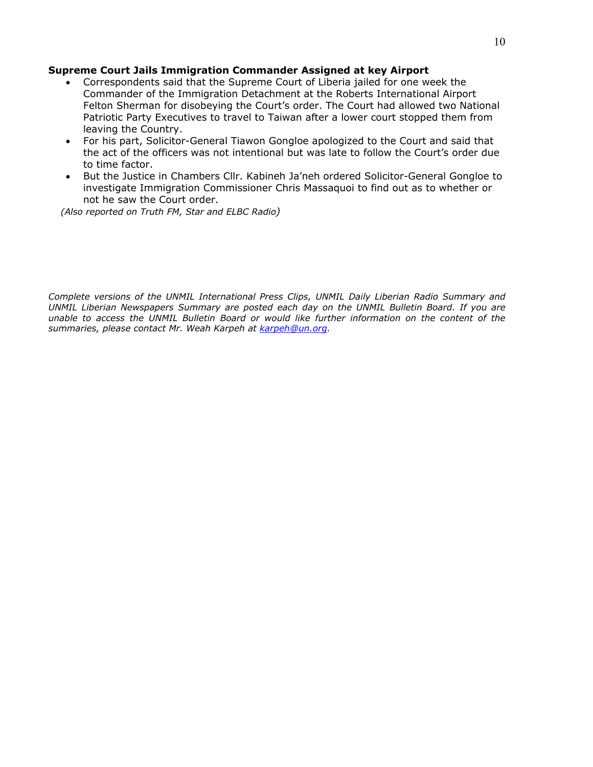### **Supreme Court Jails Immigration Commander Assigned at key Airport**

- Correspondents said that the Supreme Court of Liberia jailed for one week the Commander of the Immigration Detachment at the Roberts International Airport Felton Sherman for disobeying the Court's order. The Court had allowed two National Patriotic Party Executives to travel to Taiwan after a lower court stopped them from leaving the Country.
- For his part, Solicitor-General Tiawon Gongloe apologized to the Court and said that the act of the officers was not intentional but was late to follow the Court's order due to time factor.
- But the Justice in Chambers Cllr. Kabineh Ja'neh ordered Solicitor-General Gongloe to investigate Immigration Commissioner Chris Massaquoi to find out as to whether or not he saw the Court order.

 *(Also reported on Truth FM, Star and ELBC Radio)*

*Complete versions of the UNMIL International Press Clips, UNMIL Daily Liberian Radio Summary and UNMIL Liberian Newspapers Summary are posted each day on the UNMIL Bulletin Board. If you are unable to access the UNMIL Bulletin Board or would like further information on the content of the summaries, please contact Mr. Weah Karpeh at [karpeh@un.org.](mailto:karpeh@un.org)*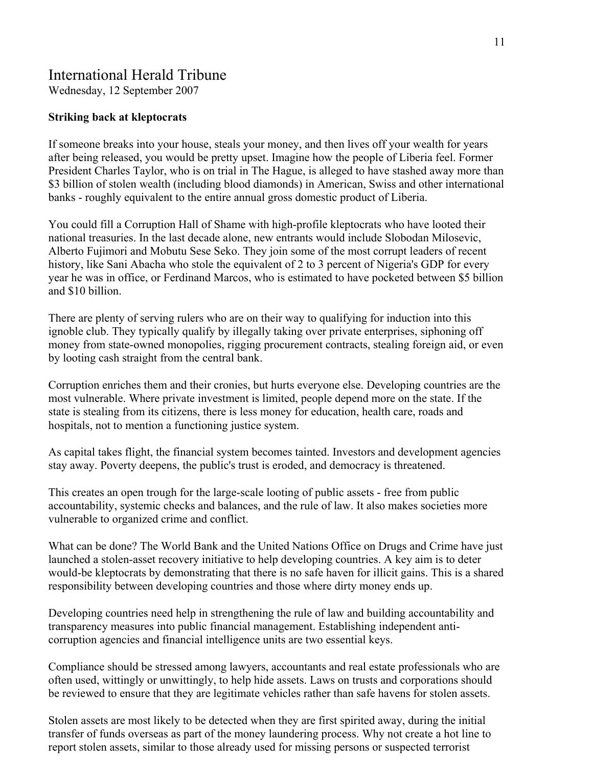# International Herald Tribune

Wednesday, 12 September 2007

### **Striking back at kleptocrats**

If someone breaks into your house, steals your money, and then lives off your wealth for years after being released, you would be pretty upset. Imagine how the people of Liberia feel. Former President Charles Taylor, who is on trial in The Hague, is alleged to have stashed away more than \$3 billion of stolen wealth (including blood diamonds) in American, Swiss and other international banks - roughly equivalent to the entire annual gross domestic product of Liberia.

You could fill a Corruption Hall of Shame with high-profile kleptocrats who have looted their national treasuries. In the last decade alone, new entrants would include Slobodan Milosevic, Alberto Fujimori and Mobutu Sese Seko. They join some of the most corrupt leaders of recent history, like Sani Abacha who stole the equivalent of 2 to 3 percent of Nigeria's GDP for every year he was in office, or Ferdinand Marcos, who is estimated to have pocketed between \$5 billion and \$10 billion.

There are plenty of serving rulers who are on their way to qualifying for induction into this ignoble club. They typically qualify by illegally taking over private enterprises, siphoning off money from state-owned monopolies, rigging procurement contracts, stealing foreign aid, or even by looting cash straight from the central bank.

Corruption enriches them and their cronies, but hurts everyone else. Developing countries are the most vulnerable. Where private investment is limited, people depend more on the state. If the state is stealing from its citizens, there is less money for education, health care, roads and hospitals, not to mention a functioning justice system.

As capital takes flight, the financial system becomes tainted. Investors and development agencies stay away. Poverty deepens, the public's trust is eroded, and democracy is threatened.

This creates an open trough for the large-scale looting of public assets - free from public accountability, systemic checks and balances, and the rule of law. It also makes societies more vulnerable to organized crime and conflict.

What can be done? The World Bank and the United Nations Office on Drugs and Crime have just launched a stolen-asset recovery initiative to help developing countries. A key aim is to deter would-be kleptocrats by demonstrating that there is no safe haven for illicit gains. This is a shared responsibility between developing countries and those where dirty money ends up.

Developing countries need help in strengthening the rule of law and building accountability and transparency measures into public financial management. Establishing independent anticorruption agencies and financial intelligence units are two essential keys.

Compliance should be stressed among lawyers, accountants and real estate professionals who are often used, wittingly or unwittingly, to help hide assets. Laws on trusts and corporations should be reviewed to ensure that they are legitimate vehicles rather than safe havens for stolen assets.

Stolen assets are most likely to be detected when they are first spirited away, during the initial transfer of funds overseas as part of the money laundering process. Why not create a hot line to report stolen assets, similar to those already used for missing persons or suspected terrorist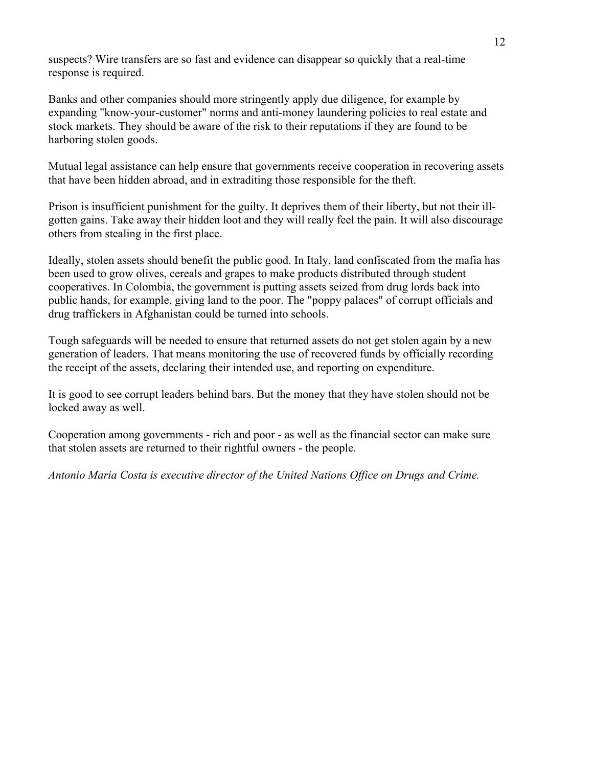suspects? Wire transfers are so fast and evidence can disappear so quickly that a real-time response is required.

Banks and other companies should more stringently apply due diligence, for example by expanding "know-your-customer" norms and anti-money laundering policies to real estate and stock markets. They should be aware of the risk to their reputations if they are found to be harboring stolen goods.

Mutual legal assistance can help ensure that governments receive cooperation in recovering assets that have been hidden abroad, and in extraditing those responsible for the theft.

Prison is insufficient punishment for the guilty. It deprives them of their liberty, but not their illgotten gains. Take away their hidden loot and they will really feel the pain. It will also discourage others from stealing in the first place.

Ideally, stolen assets should benefit the public good. In Italy, land confiscated from the mafia has been used to grow olives, cereals and grapes to make products distributed through student cooperatives. In Colombia, the government is putting assets seized from drug lords back into public hands, for example, giving land to the poor. The "poppy palaces" of corrupt officials and drug traffickers in Afghanistan could be turned into schools.

Tough safeguards will be needed to ensure that returned assets do not get stolen again by a new generation of leaders. That means monitoring the use of recovered funds by officially recording the receipt of the assets, declaring their intended use, and reporting on expenditure.

It is good to see corrupt leaders behind bars. But the money that they have stolen should not be locked away as well.

Cooperation among governments - rich and poor - as well as the financial sector can make sure that stolen assets are returned to their rightful owners - the people.

*Antonio Maria Costa is executive director of the United Nations Office on Drugs and Crime.*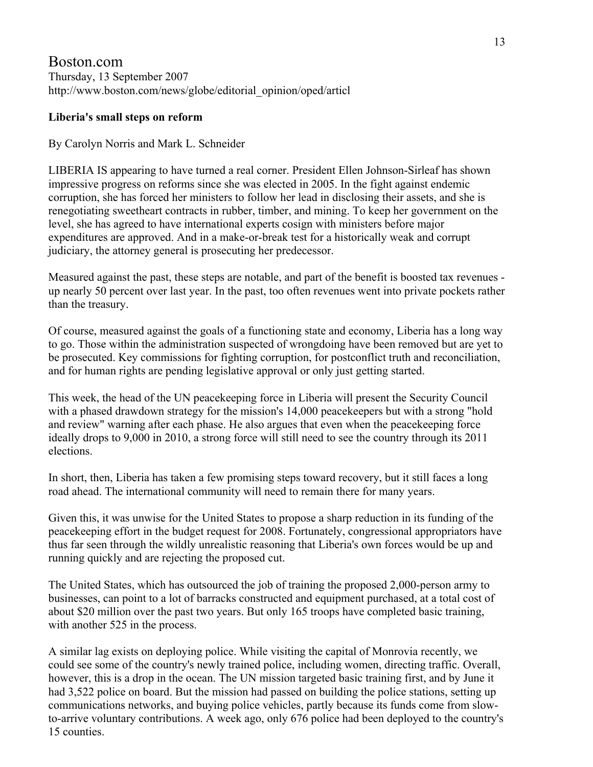## Boston.com Thursday, 13 September 2007 http://www.boston.com/news/globe/editorial\_opinion/oped/articl

### **Liberia's small steps on reform**

### By Carolyn Norris and Mark L. Schneider

LIBERIA IS appearing to have turned a real corner. President Ellen Johnson-Sirleaf has shown impressive progress on reforms since she was elected in 2005. In the fight against endemic corruption, she has forced her ministers to follow her lead in disclosing their assets, and she is renegotiating sweetheart contracts in rubber, timber, and mining. To keep her government on the level, she has agreed to have international experts cosign with ministers before major expenditures are approved. And in a make-or-break test for a historically weak and corrupt judiciary, the attorney general is prosecuting her predecessor.

Measured against the past, these steps are notable, and part of the benefit is boosted tax revenues up nearly 50 percent over last year. In the past, too often revenues went into private pockets rather than the treasury.

Of course, measured against the goals of a functioning state and economy, Liberia has a long way to go. Those within the administration suspected of wrongdoing have been removed but are yet to be prosecuted. Key commissions for fighting corruption, for postconflict truth and reconciliation, and for human rights are pending legislative approval or only just getting started.

This week, the head of the UN peacekeeping force in Liberia will present the Security Council with a phased drawdown strategy for the mission's 14,000 peace keepers but with a strong "hold" and review" warning after each phase. He also argues that even when the peacekeeping force ideally drops to 9,000 in 2010, a strong force will still need to see the country through its 2011 elections.

In short, then, Liberia has taken a few promising steps toward recovery, but it still faces a long road ahead. The international community will need to remain there for many years.

Given this, it was unwise for the United States to propose a sharp reduction in its funding of the peacekeeping effort in the budget request for 2008. Fortunately, congressional appropriators have thus far seen through the wildly unrealistic reasoning that Liberia's own forces would be up and running quickly and are rejecting the proposed cut.

The United States, which has outsourced the job of training the proposed 2,000-person army to businesses, can point to a lot of barracks constructed and equipment purchased, at a total cost of about \$20 million over the past two years. But only 165 troops have completed basic training, with another 525 in the process.

A similar lag exists on deploying police. While visiting the capital of Monrovia recently, we could see some of the country's newly trained police, including women, directing traffic. Overall, however, this is a drop in the ocean. The UN mission targeted basic training first, and by June it had 3,522 police on board. But the mission had passed on building the police stations, setting up communications networks, and buying police vehicles, partly because its funds come from slowto-arrive voluntary contributions. A week ago, only 676 police had been deployed to the country's 15 counties.